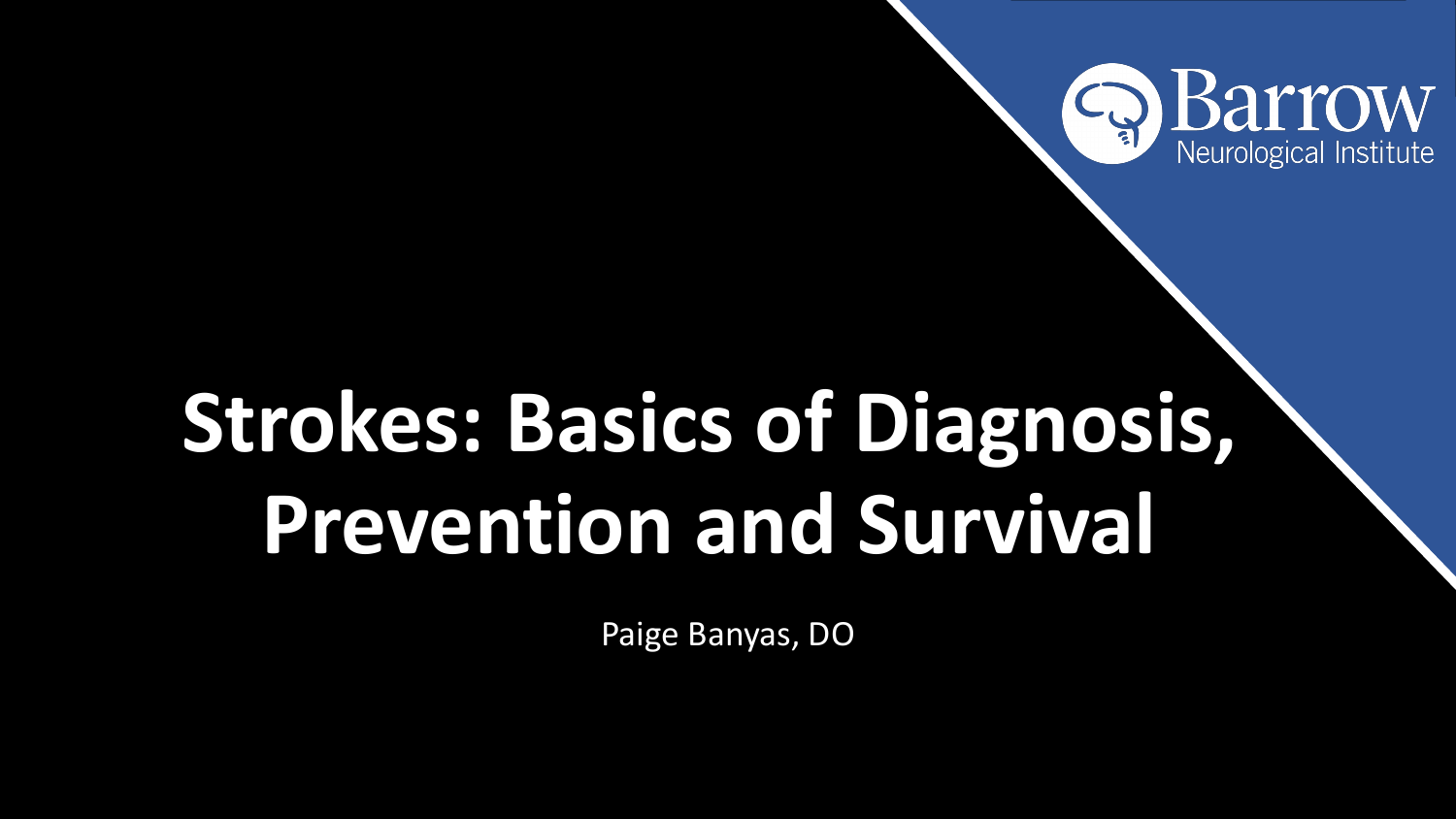# **Strokes: Basics of Diagnosis, Prevention and Survival**



Paige Banyas, DO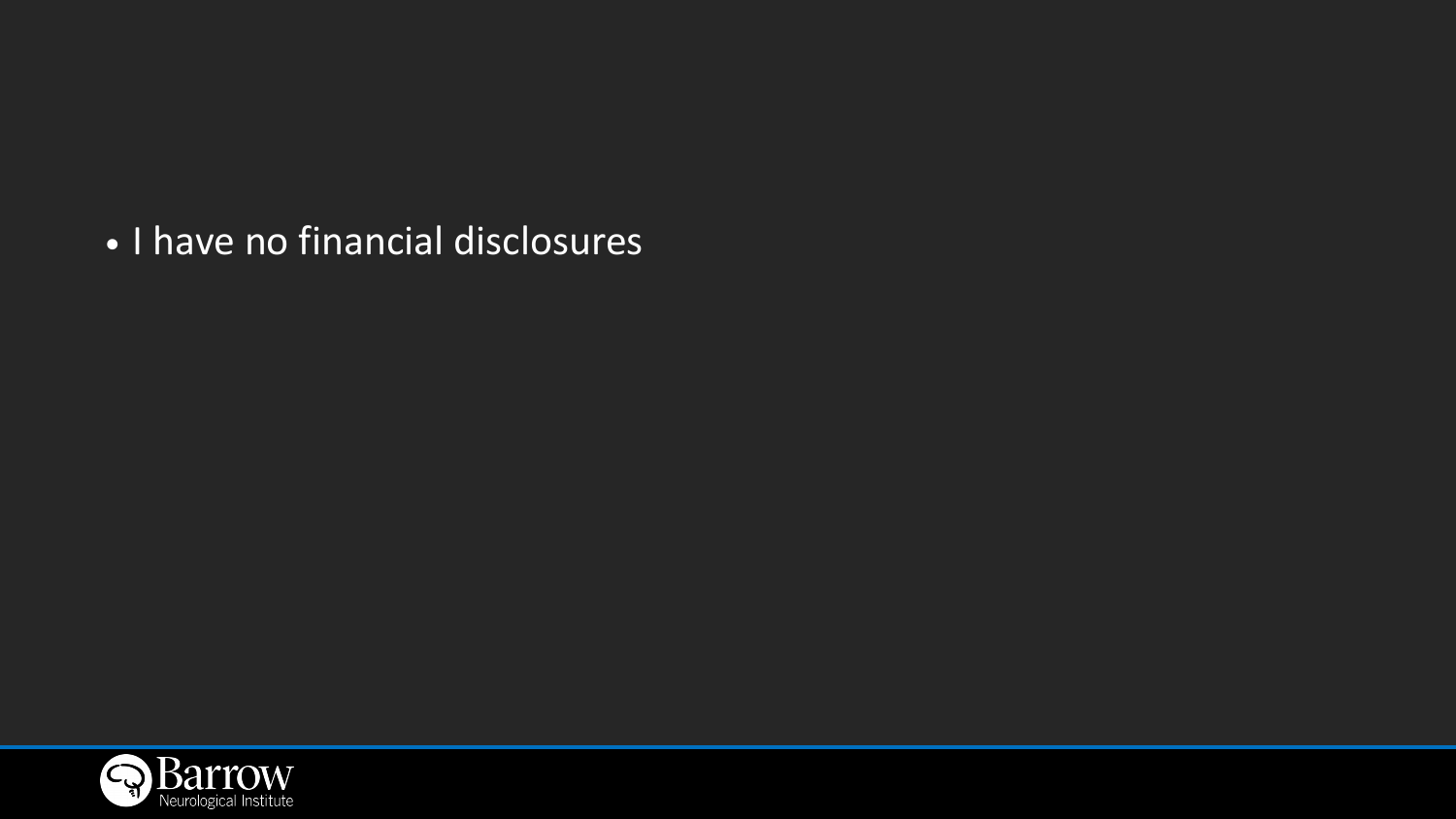### • I have no financial disclosures

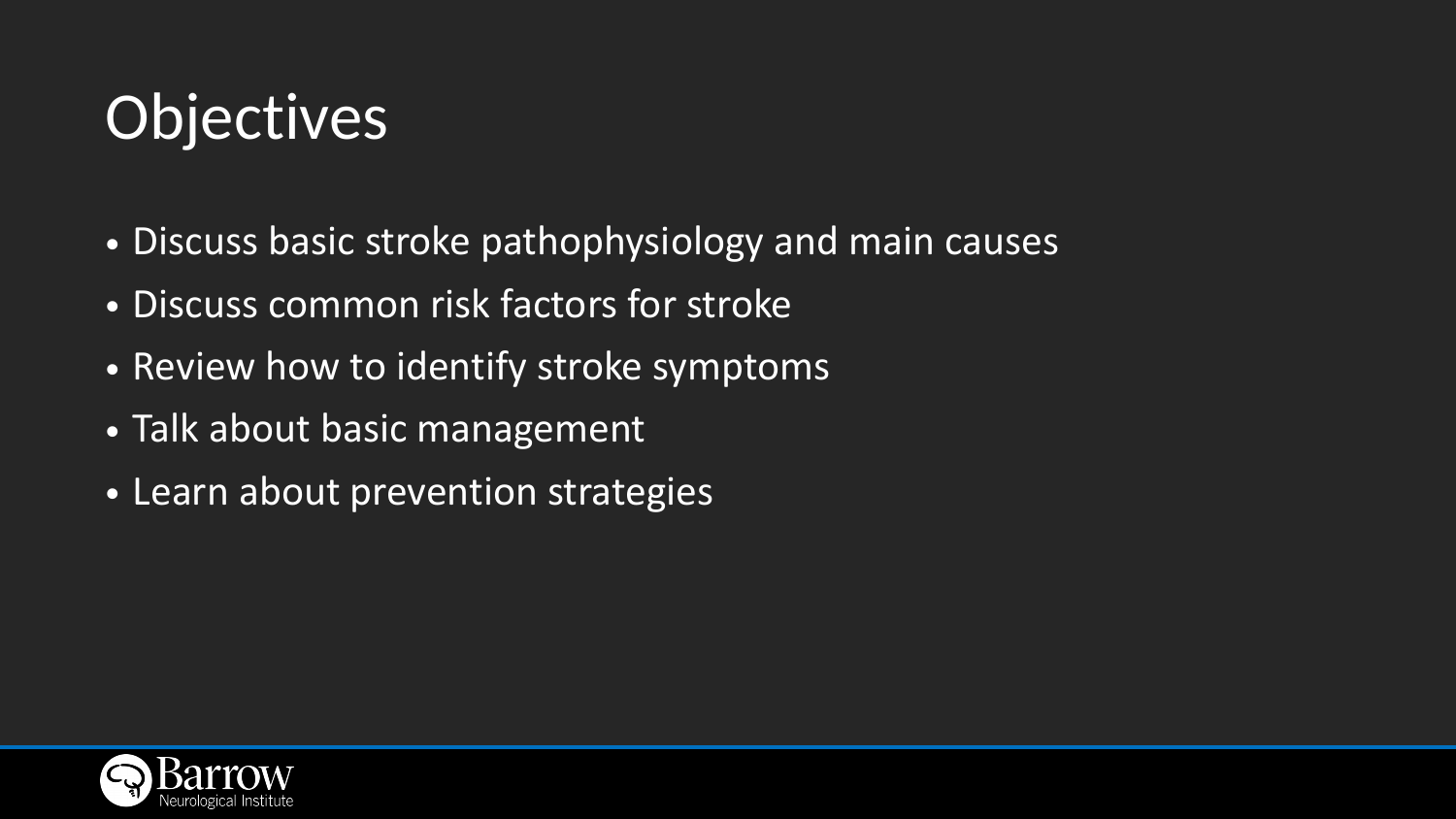# Objectives

- Discuss basic stroke pathophysiology and main causes • Discuss common risk factors for stroke
- 
- Review how to identify stroke symptoms
- Talk about basic management
- Learn about prevention strategies

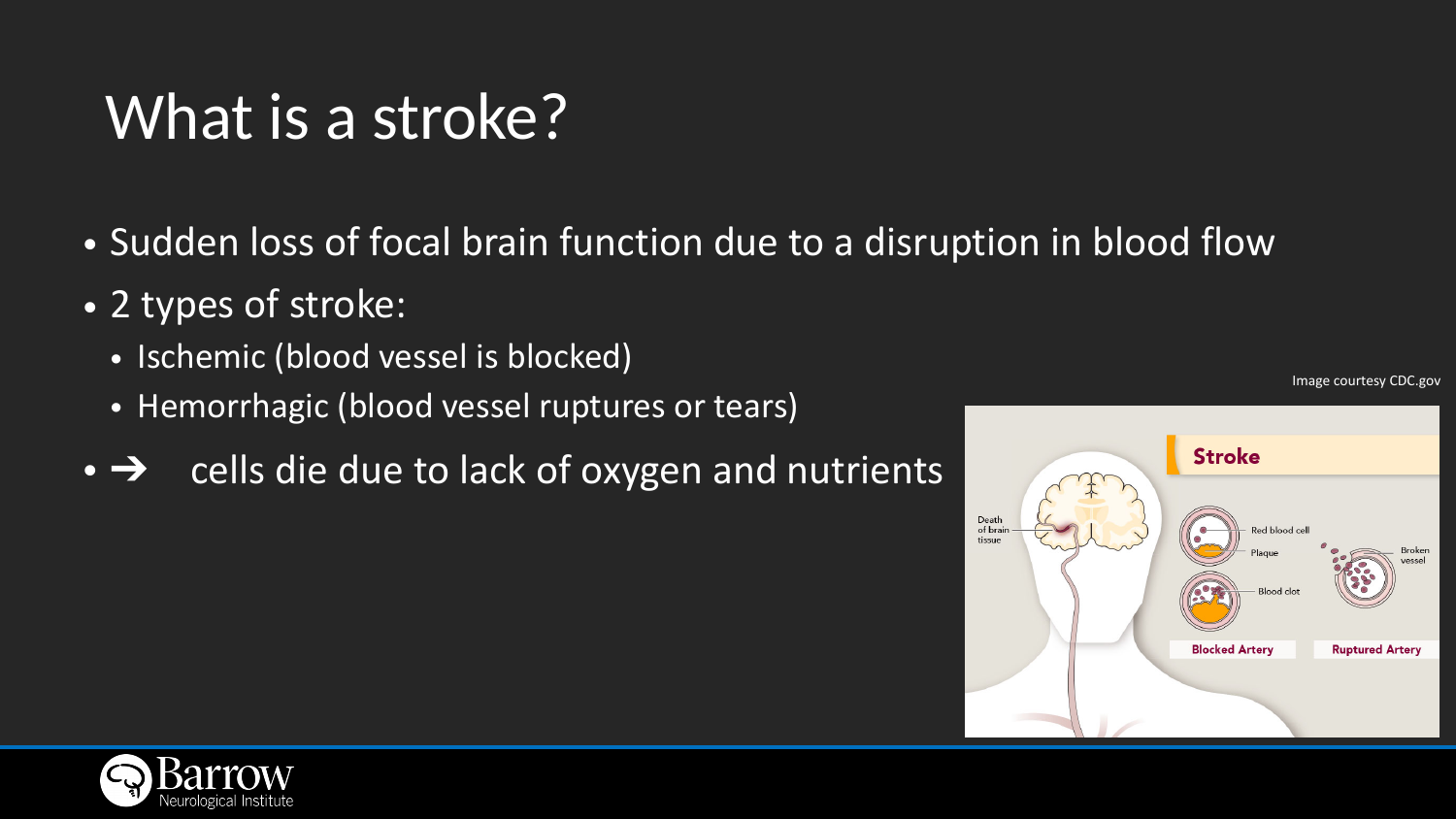### What is a stroke?

- Sudden loss of focal brain function due to a disruption in blood flow
- 2 types of stroke:
	- Ischemic (blood vessel is blocked)
	- Hemorrhagic (blood vessel ruptures or tears)
- $\rightarrow$  cells die due to lack of oxygen and nutrients



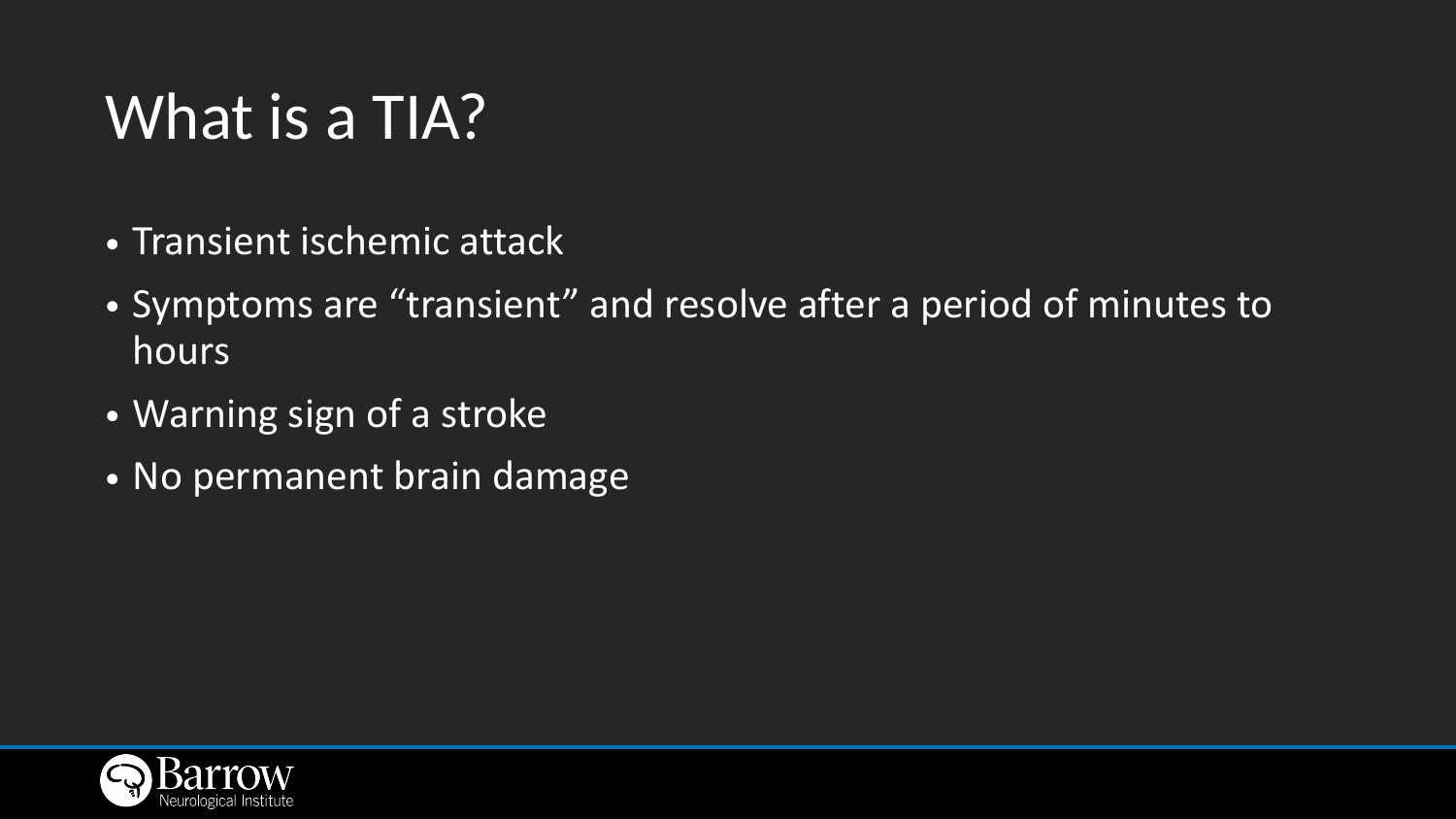# What is a TIA?

### • Symptoms are "transient" and resolve after a period of minutes to

- Transient ischemic attack
- hours
- Warning sign of a stroke
- No permanent brain damage

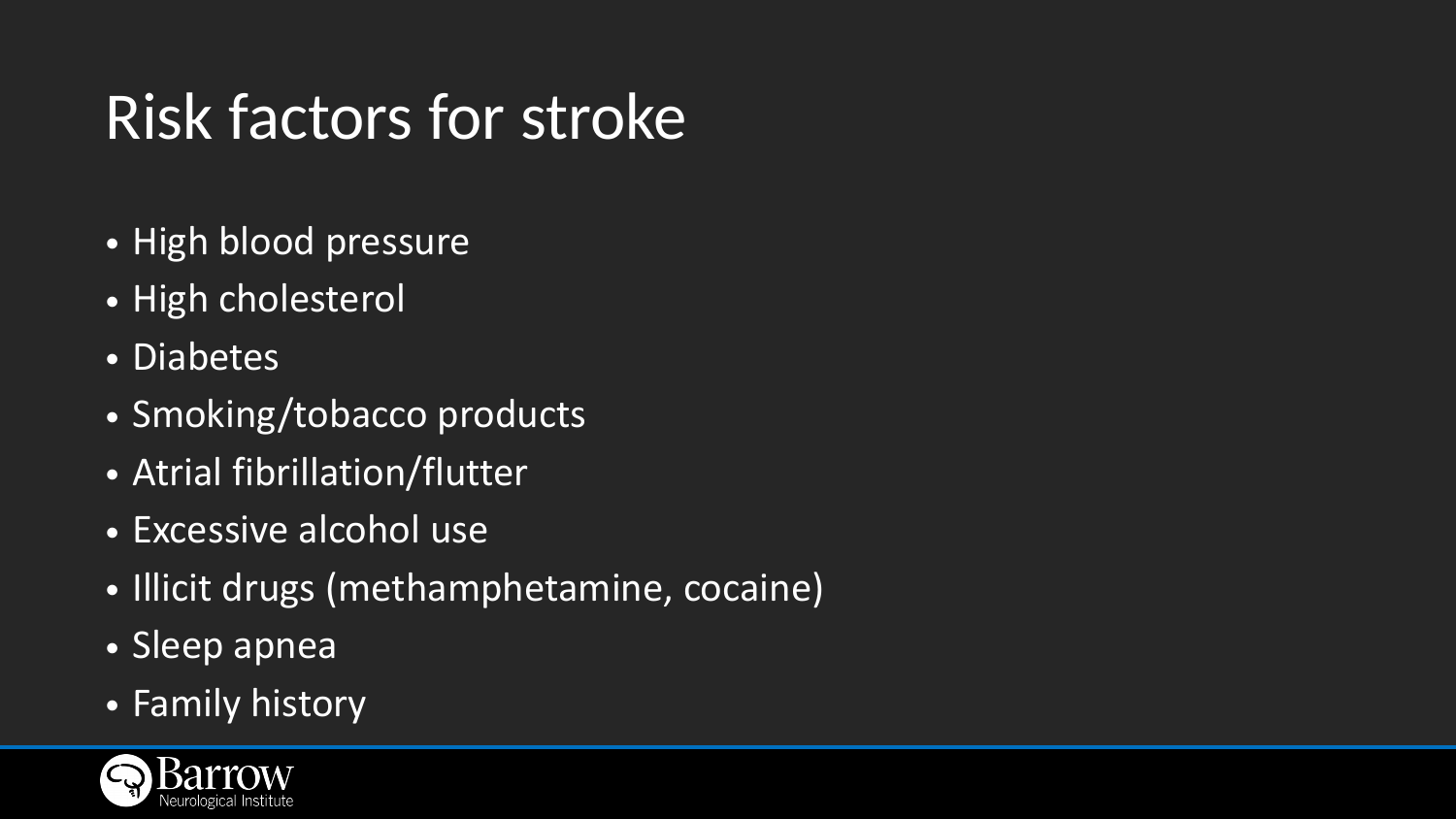# Risk factors for stroke

- High blood pressure
- High cholesterol
- Diabetes
- Smoking/tobacco products
- Atrial fibrillation/flutter
- Excessive alcohol use
- Illicit drugs (methamphetamine, cocaine)
- Sleep apnea
- Family history

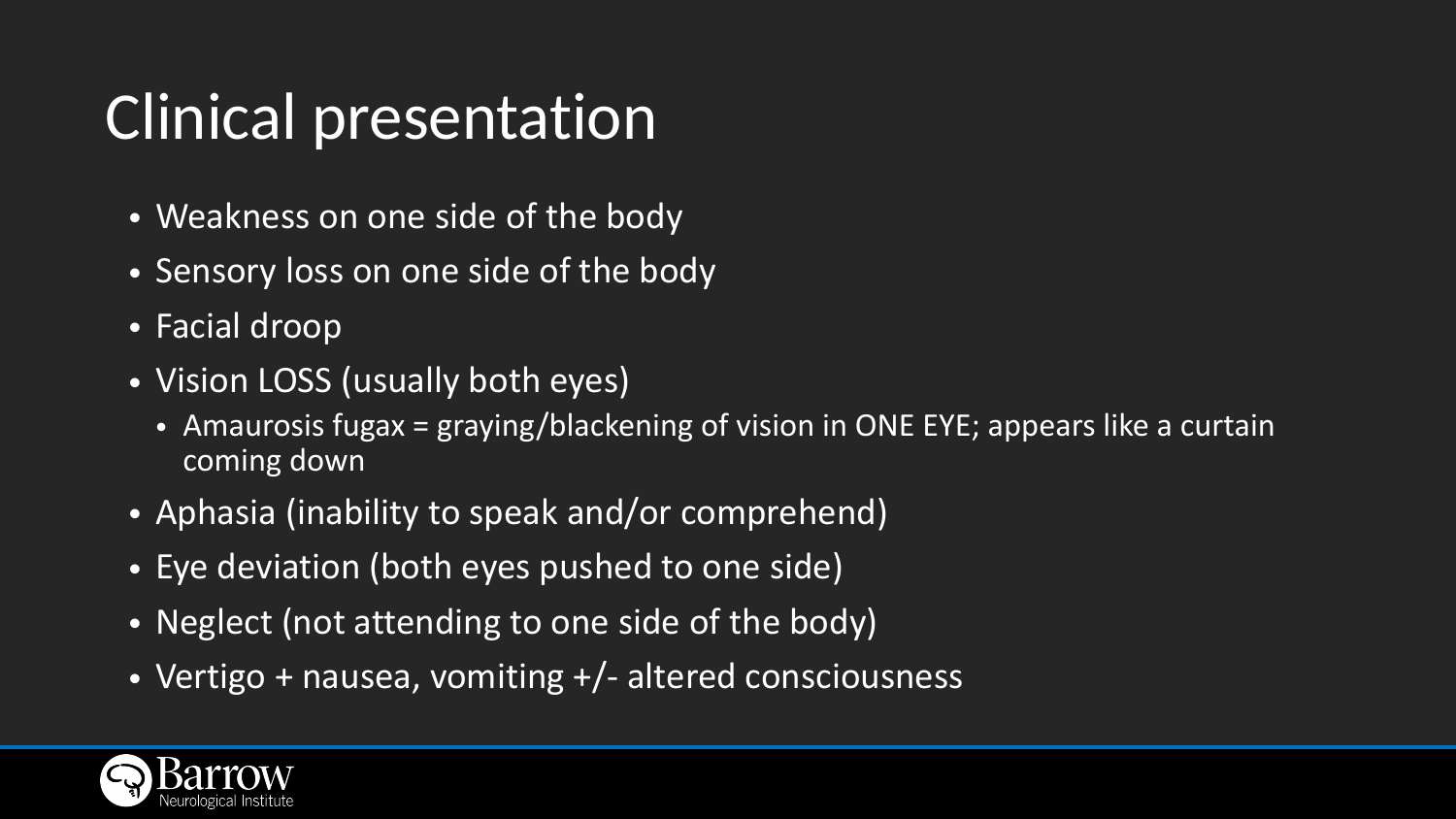# Clinical presentation

- Weakness on one side of the body
- Sensory loss on one side of the body
- Facial droop
- Vision LOSS (usually both eyes)
	- Amaurosis fugax = graying/blackening of vision in ONE EYE; appears like a curtain coming down
- Aphasia (inability to speak and/or comprehend)
- Eye deviation (both eyes pushed to one side)
- Neglect (not attending to one side of the body)
- Vertigo + nausea, vomiting +/- altered consciousness

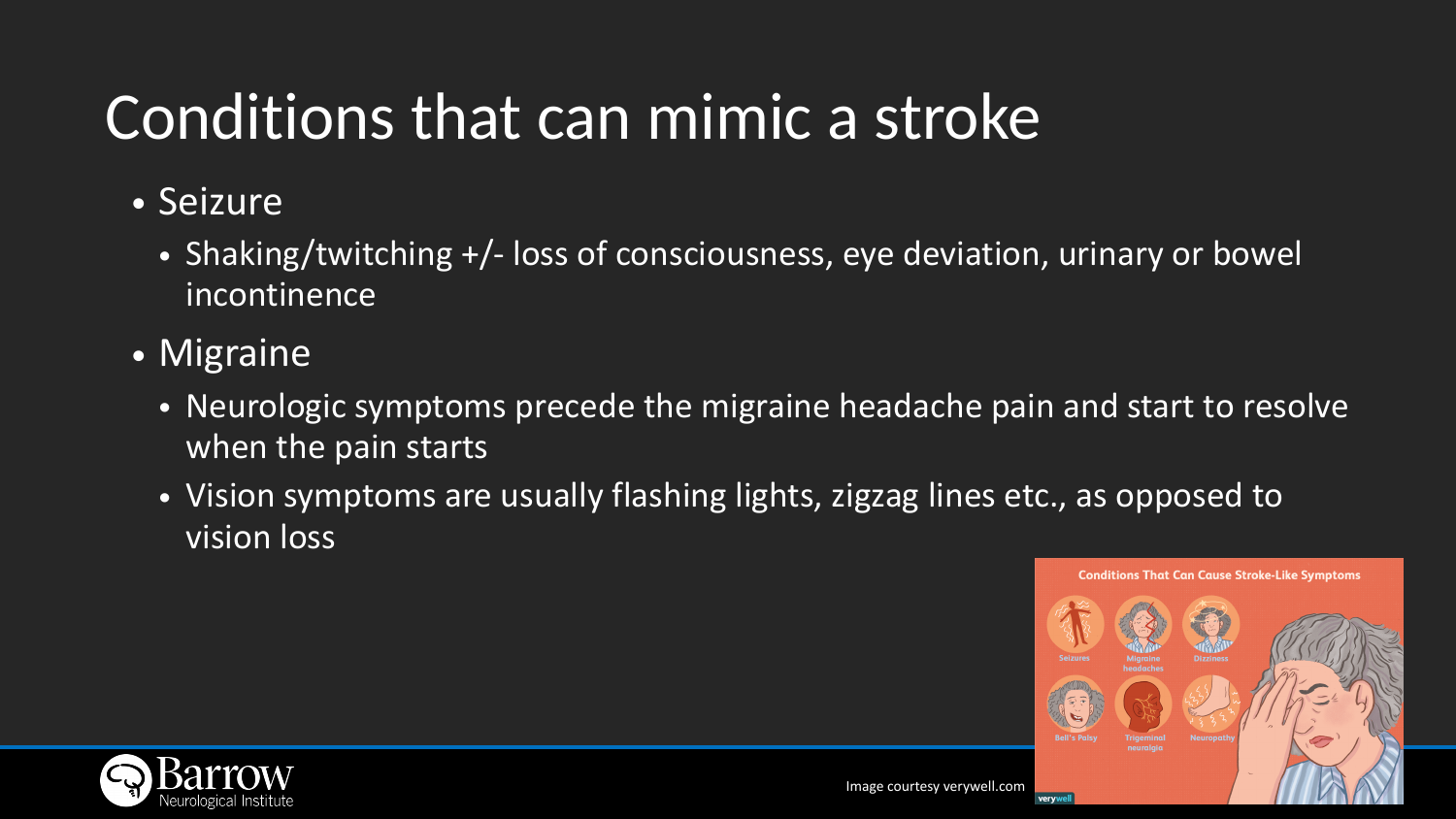# Conditions that can mimic a stroke

- Seizure
	- incontinence
- Migraine
	- when the pain starts
	- vision loss



• Shaking/twitching +/- loss of consciousness, eye deviation, urinary or bowel

• Neurologic symptoms precede the migraine headache pain and start to resolve

• Vision symptoms are usually flashing lights, zigzag lines etc., as opposed to

**Conditions That Can Cause Stroke-Like Symptoms Bell's Palsy** neuralgia verywe

Image courtesy verywell.com

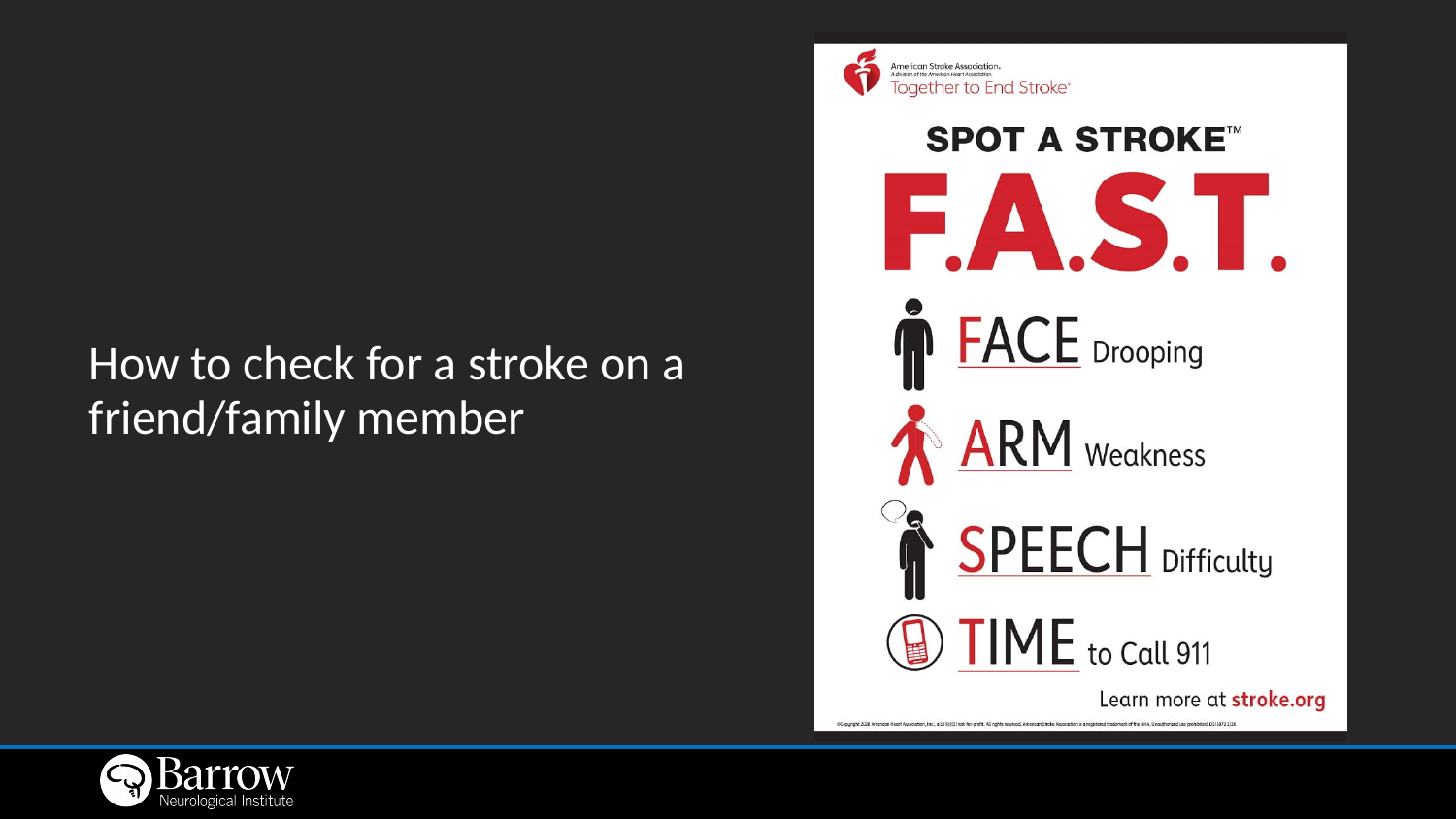### How to check for a stroke on a friend/family member





# **SPOT A STROKE™** FAST. **FACE** Drooping **ARM** Weakness **SPEECH** Difficulty IME to Call 911 Learn more at stroke.org

@Copyright 2020 American Heart Association, Inc., a 501(c)(3) not-for-profit. All rights reserved. American Stroke Association is a registered trademark of the AHA. Unauthorized use prohibited. DS15972 3/20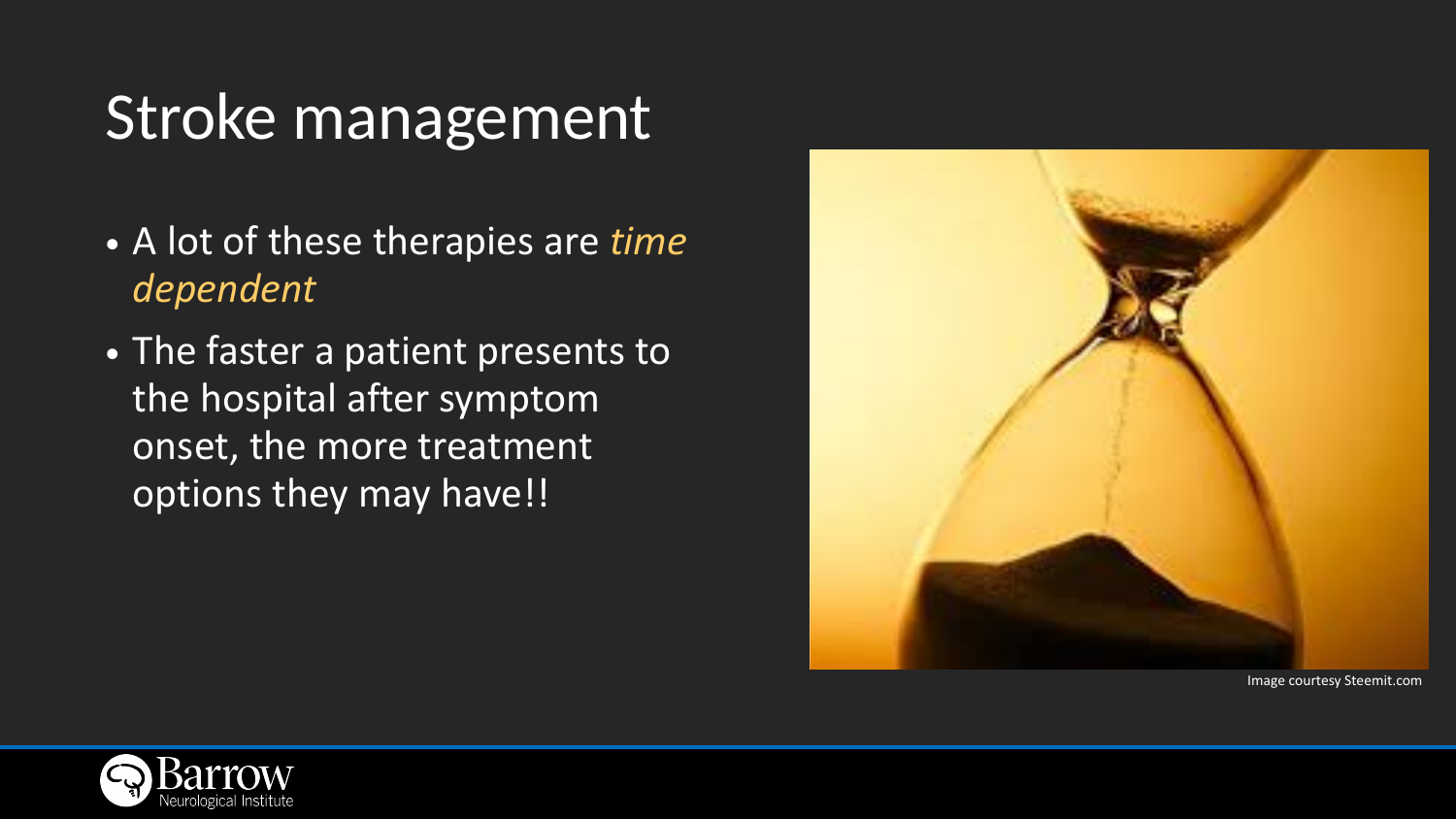### Stroke management

- A lot of these therapies are *time dependent*
- The faster a patient presents to the hospital after symptom onset, the more treatment options they may have!!





Image courtesy Steemit.com

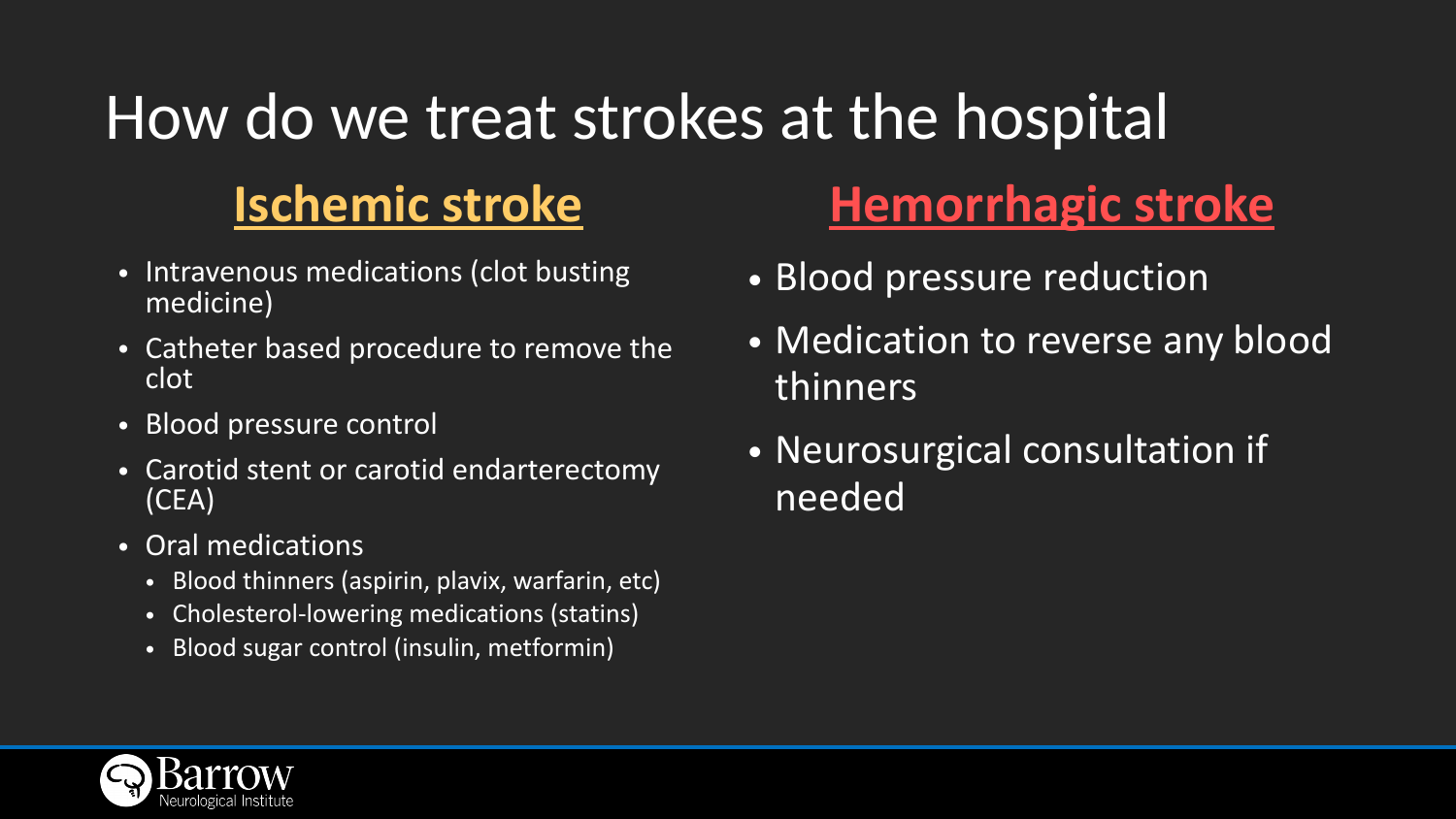### How do we treat strokes at the hospital **Ischemic stroke Hemorrhagic stroke**

- Intravenous medications (clot busting medicine)
- Catheter based procedure to remove the clot
- Blood pressure control
- Carotid stent or carotid endarterectomy (CEA)
- Oral medications
	- Blood thinners (aspirin, plavix, warfarin, etc)
	- Cholesterol-lowering medications (statins)
	- Blood sugar control (insulin, metformin)



- Blood pressure reduction
- Medication to reverse any blood thinners
- Neurosurgical consultation if needed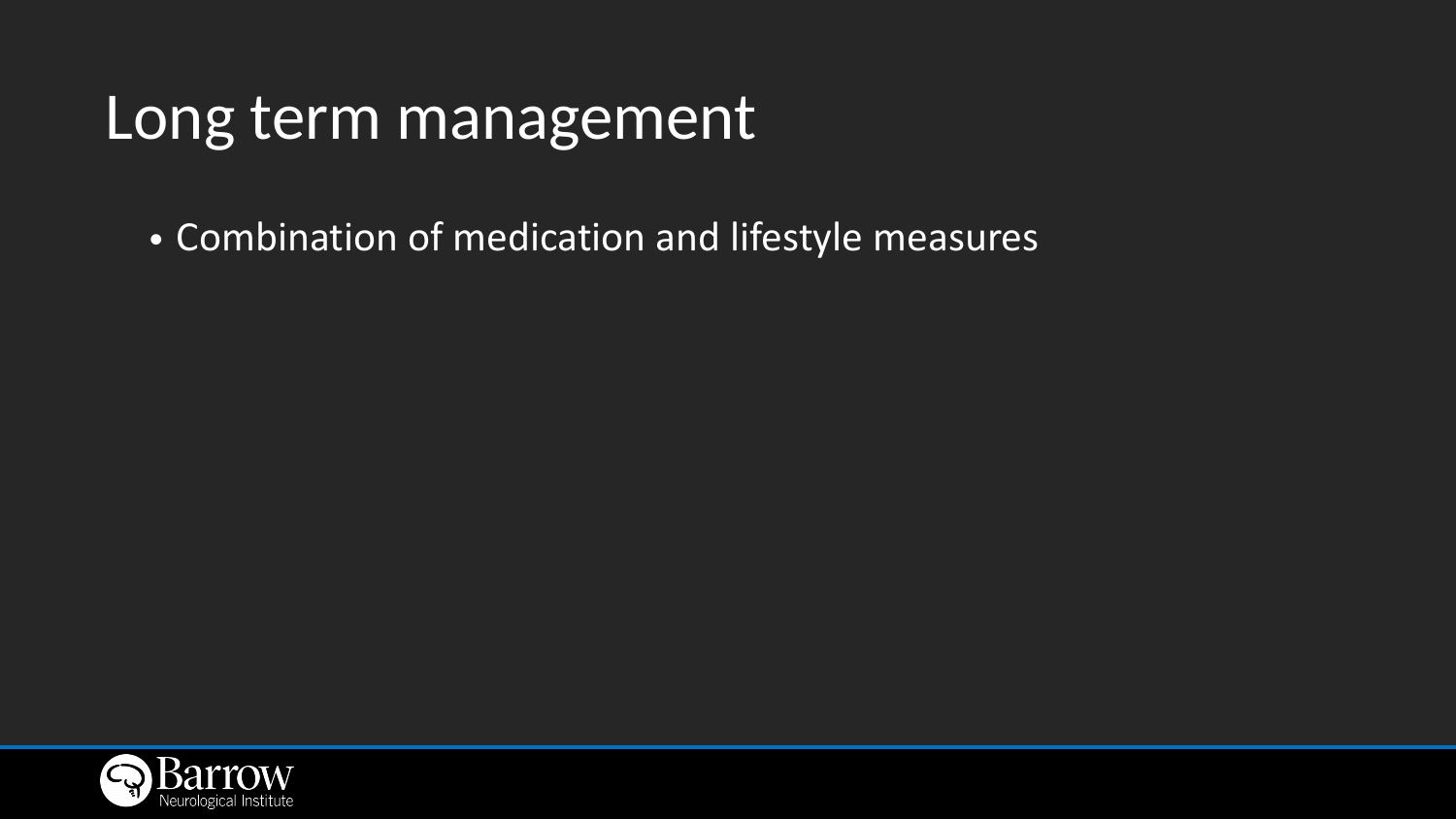### Long term management

• Combination of medication and lifestyle measures

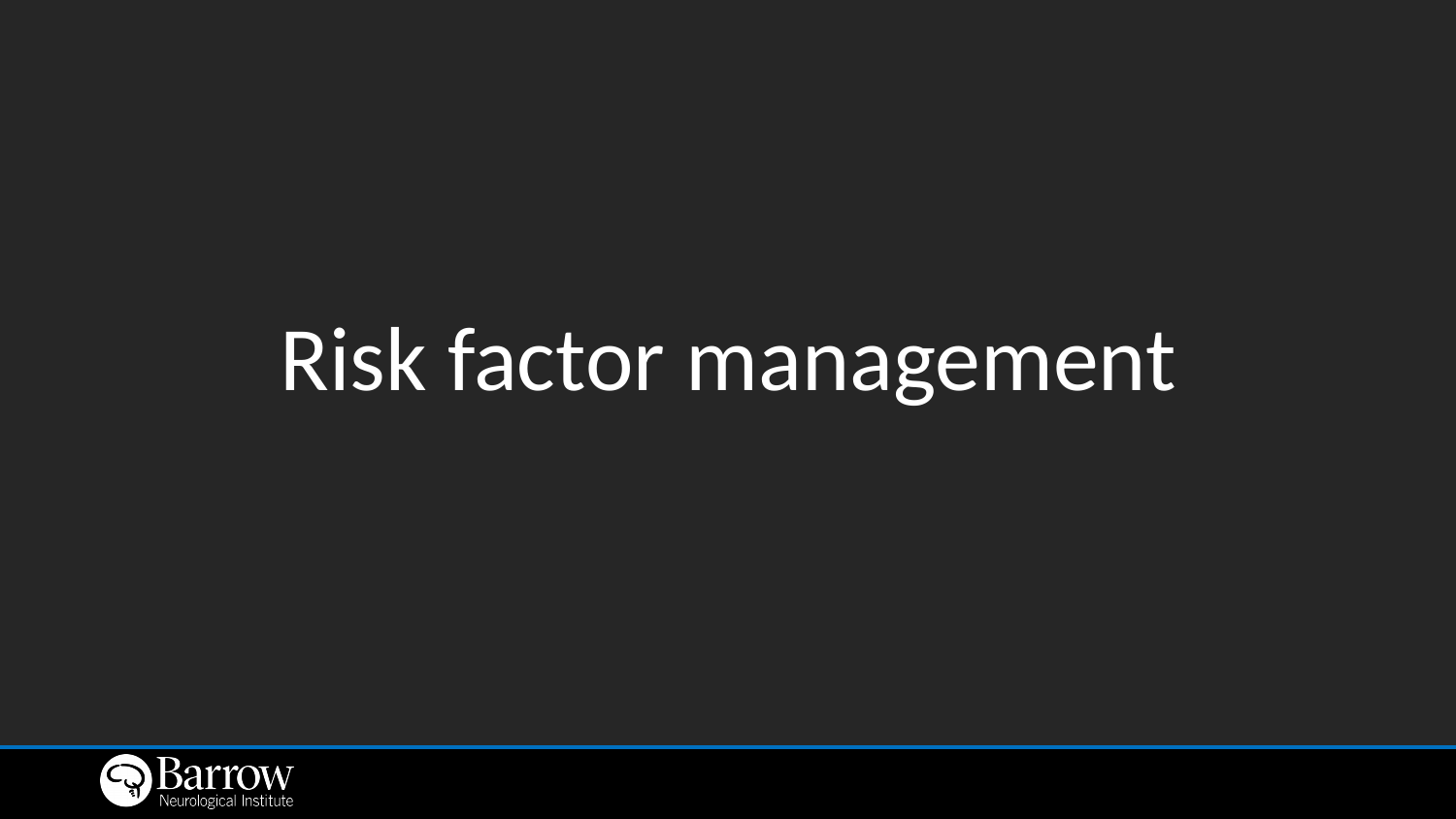

# Risk factor management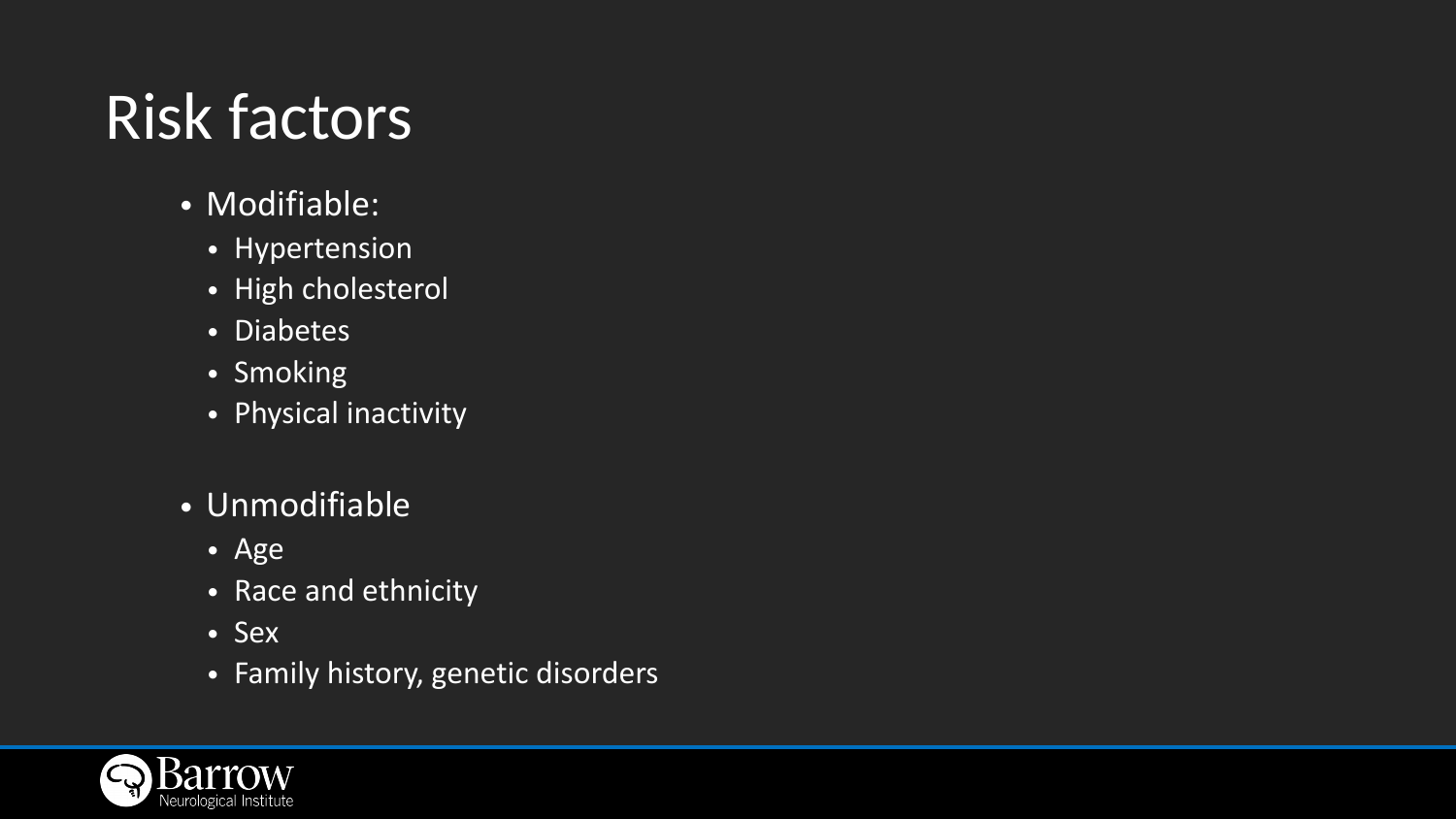# Risk factors

- Modifiable:
	- Hypertension
	- High cholesterol
	- Diabetes
	- Smoking
	- Physical inactivity
- Unmodifiable
	- Age
	- Race and ethnicity
	- Sex
	- Family history, genetic disorders

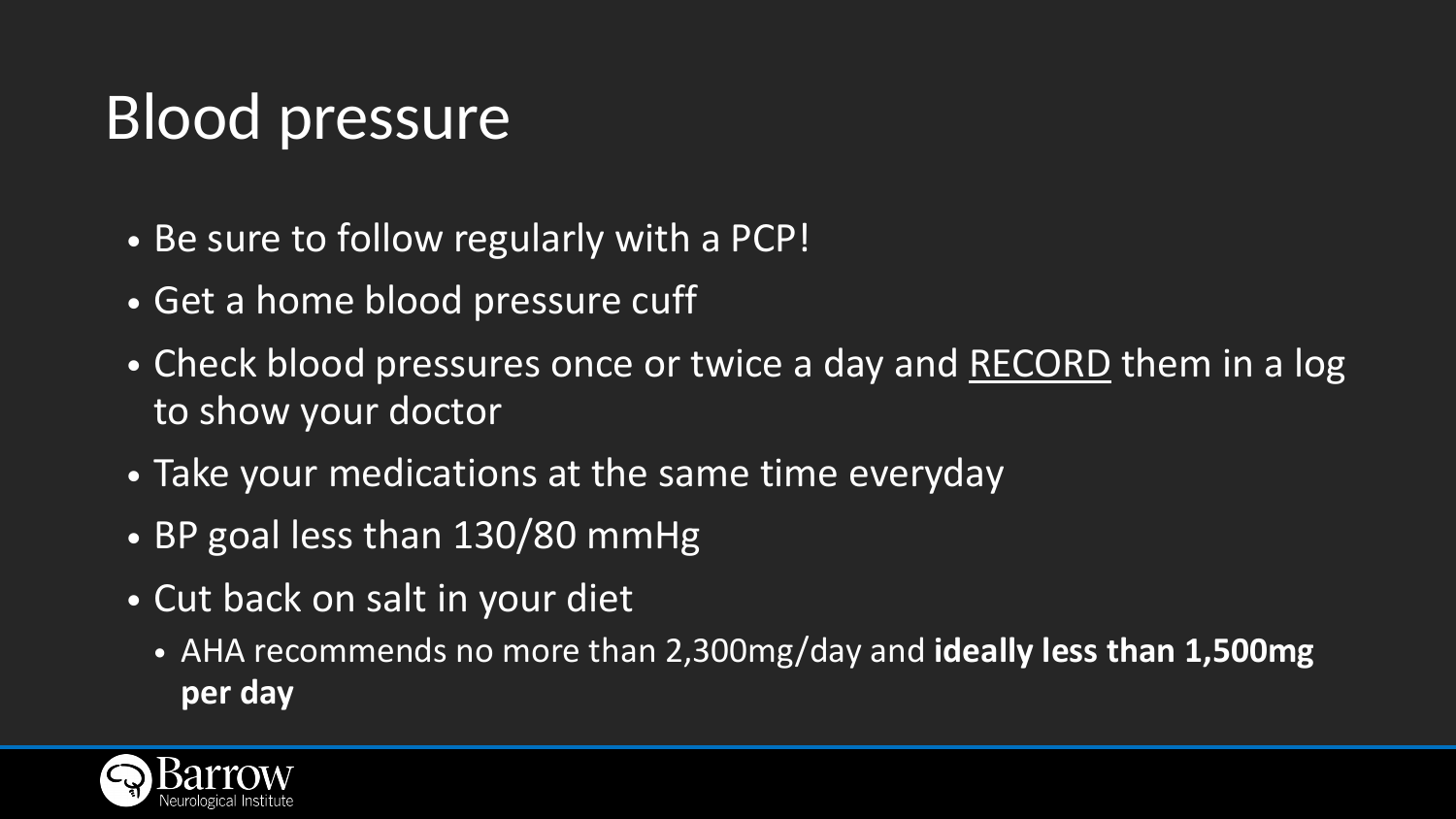# Blood pressure

- Be sure to follow regularly with a PCP!
- Get a home blood pressure cuff
- Check blood pressures once or twice a day and RECORD them in a log to show your doctor
- Take your medications at the same time everyday
- BP goal less than 130/80 mmHg
- Cut back on salt in your diet
	- **per day**



• AHA recommends no more than 2,300mg/day and **ideally less than 1,500mg**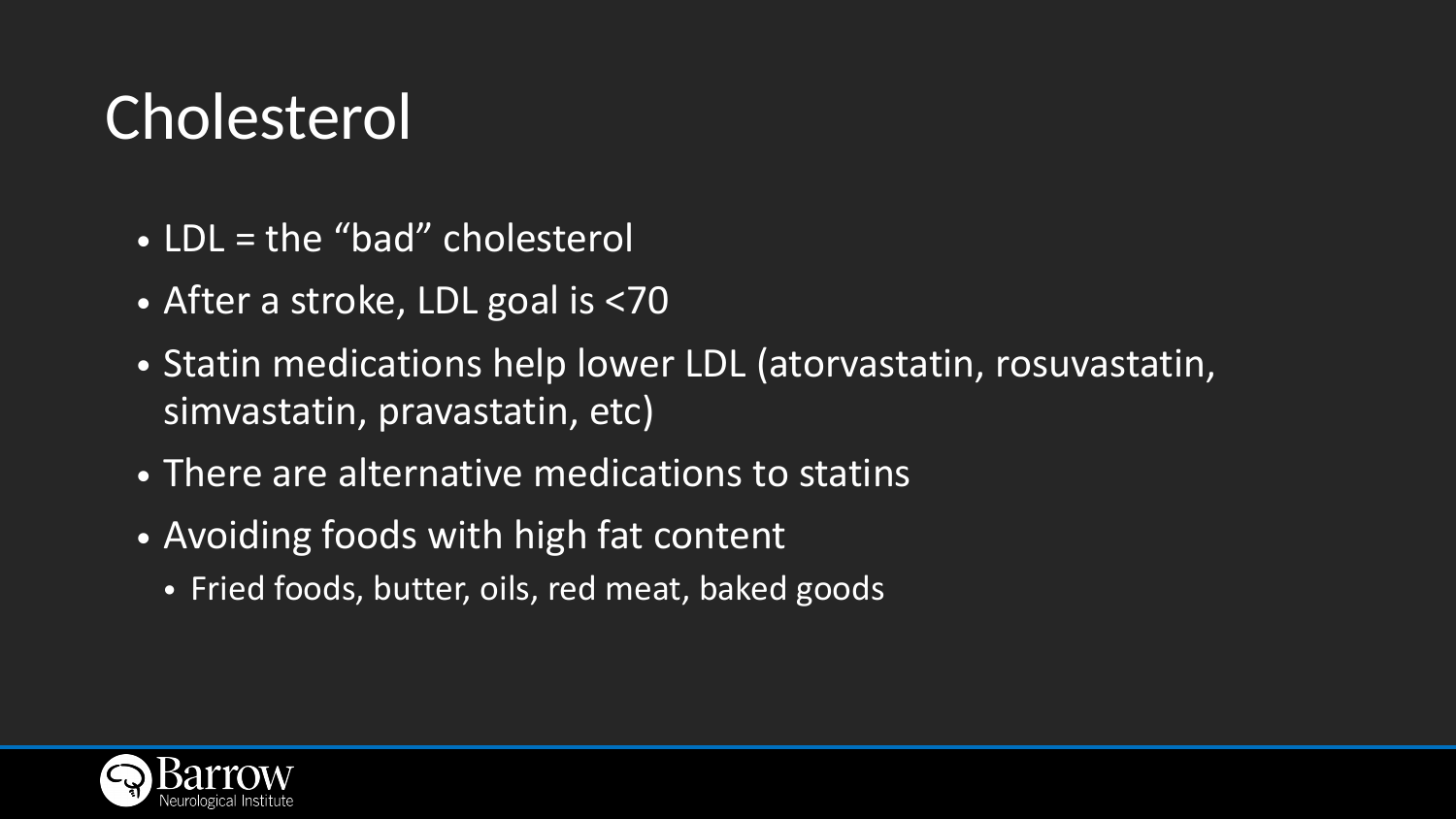# Cholesterol

- LDL = the "bad" cholesterol
- After a stroke, LDL goal is <70
- Statin medications help lower LDL (atorvastatin, rosuvastatin, simvastatin, pravastatin, etc)
- There are alternative medications to statins
- Avoiding foods with high fat content
	- Fried foods, butter, oils, red meat, baked goods

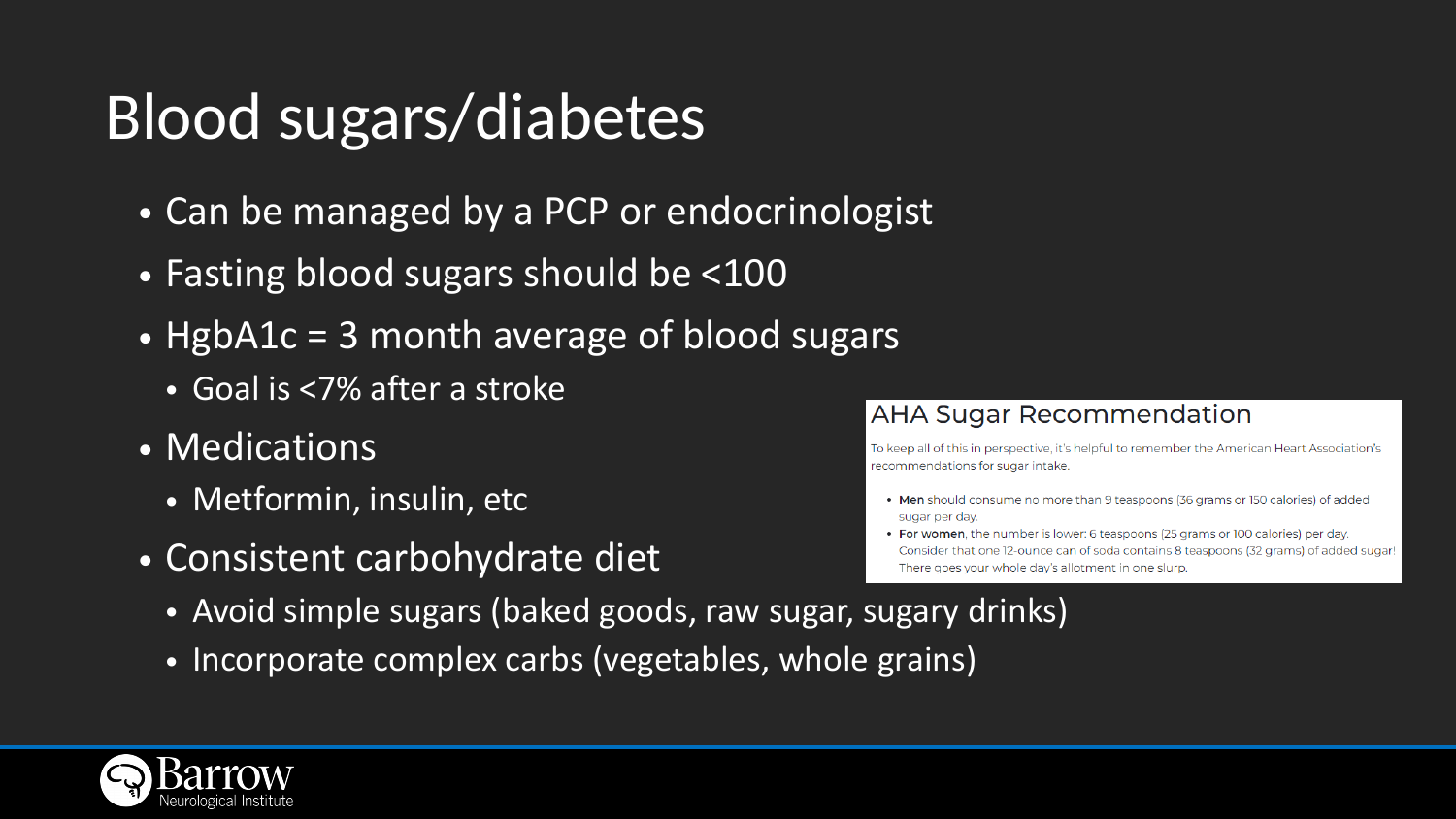# Blood sugars/diabetes

- Can be managed by a PCP or endocrinologist
- Fasting blood sugars should be <100
- HgbA1c = 3 month average of blood sugars
	- Goal is <7% after a stroke
- Medications
	- Metformin, insulin, etc
- Consistent carbohydrate diet
	- Avoid simple sugars (baked goods, raw sugar, sugary drinks)
	- Incorporate complex carbs (vegetables, whole grains)



### **AHA Sugar Recommendation**

To keep all of this in perspective, it's helpful to remember the American Heart Association's recommendations for sugar intake.

- Men should consume no more than 9 teaspoons (36 grams or 150 calories) of added sugar per day.
- For women, the number is lower: 6 teaspoons (25 grams or 100 calories) per day. Consider that one 12-ounce can of soda contains 8 teaspoons (32 grams) of added sugar! There goes your whole day's allotment in one slurp.

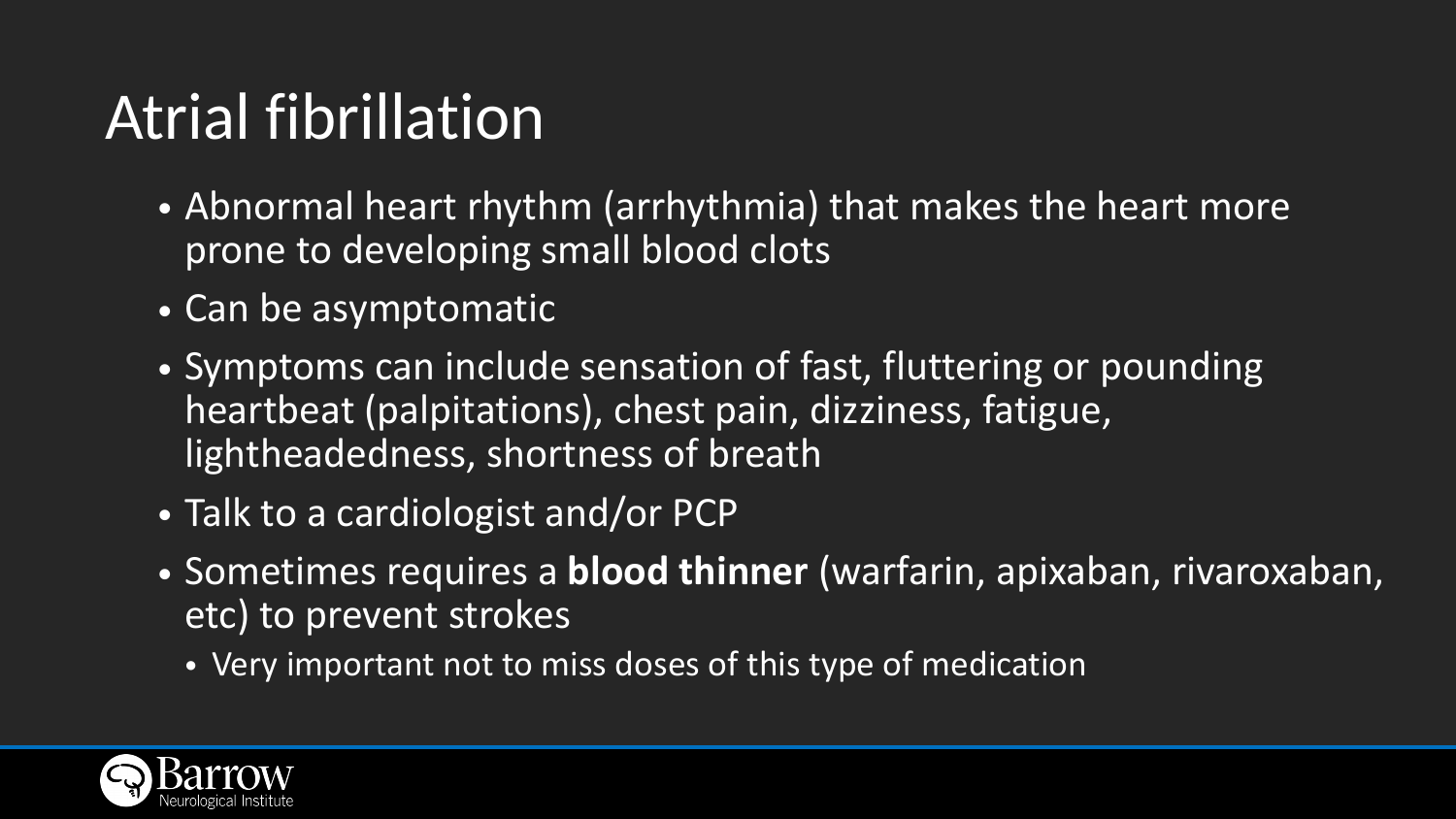# Atrial fibrillation

- prone to developing small blood clots
- Can be asymptomatic
- heartbeat (palpitations), chest pain, dizziness, fatigue, lightheadedness, shortness of breath
- Talk to a cardiologist and/or PCP
- etc) to prevent strokes
	- Very important not to miss doses of this type of medication



• Abnormal heart rhythm (arrhythmia) that makes the heart more

• Symptoms can include sensation of fast, fluttering or pounding

• Sometimes requires a **blood thinner** (warfarin, apixaban, rivaroxaban,

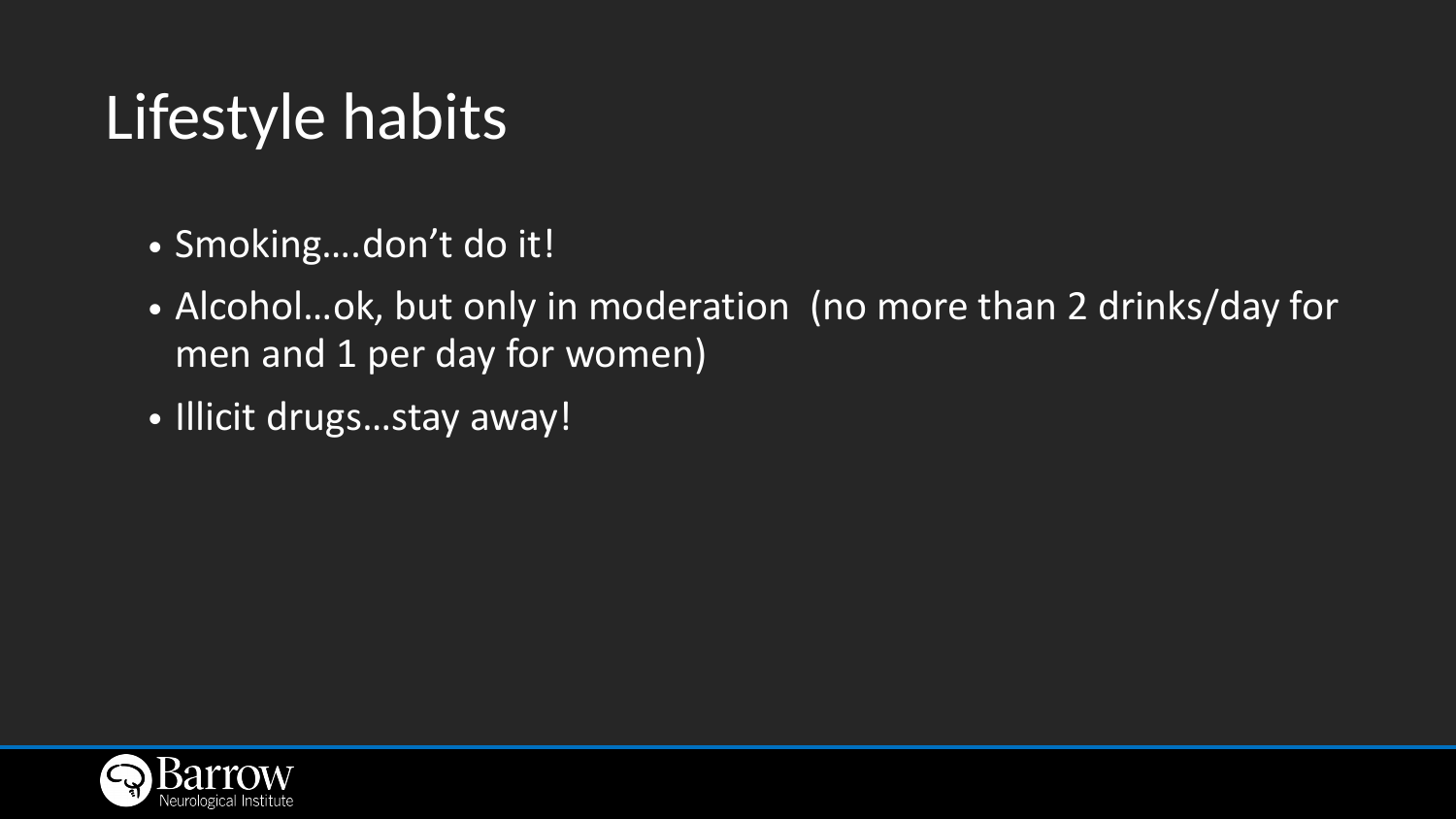# Lifestyle habits

# • Alcohol…ok, but only in moderation (no more than 2 drinks/day for

- Smoking….don't do it!
- men and 1 per day for women)
- Illicit drugs…stay away!

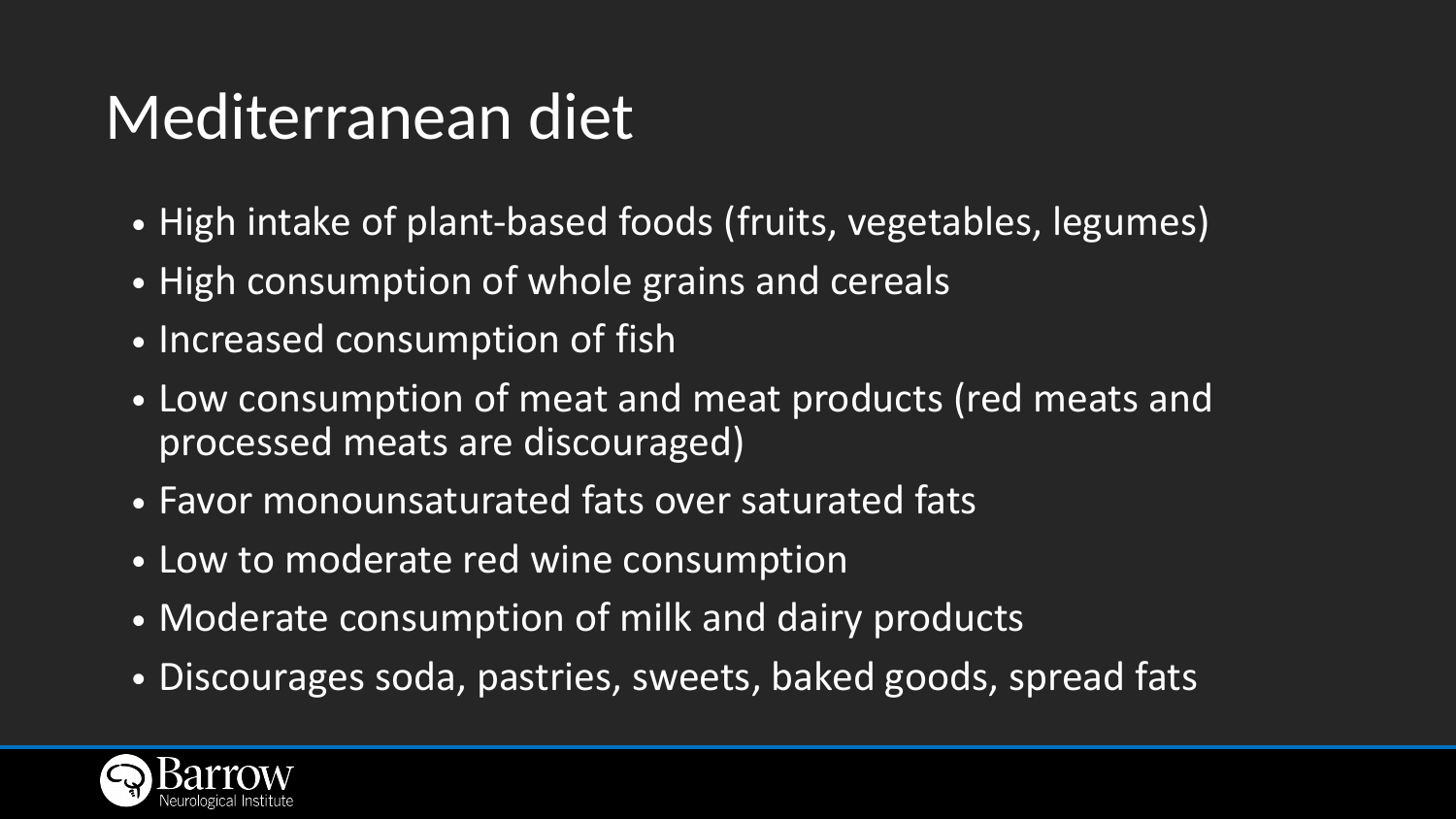### Mediterranean diet

- High intake of plant-based foods (fruits, vegetables, legumes)
- High consumption of whole grains and cereals
- Increased consumption of fish
- Low consumption of meat and meat products (red meats and processed meats are discouraged)
- Favor monounsaturated fats over saturated fats
- Low to moderate red wine consumption
- Moderate consumption of milk and dairy products
- Discourages soda, pastries, sweets, baked goods, spread fats

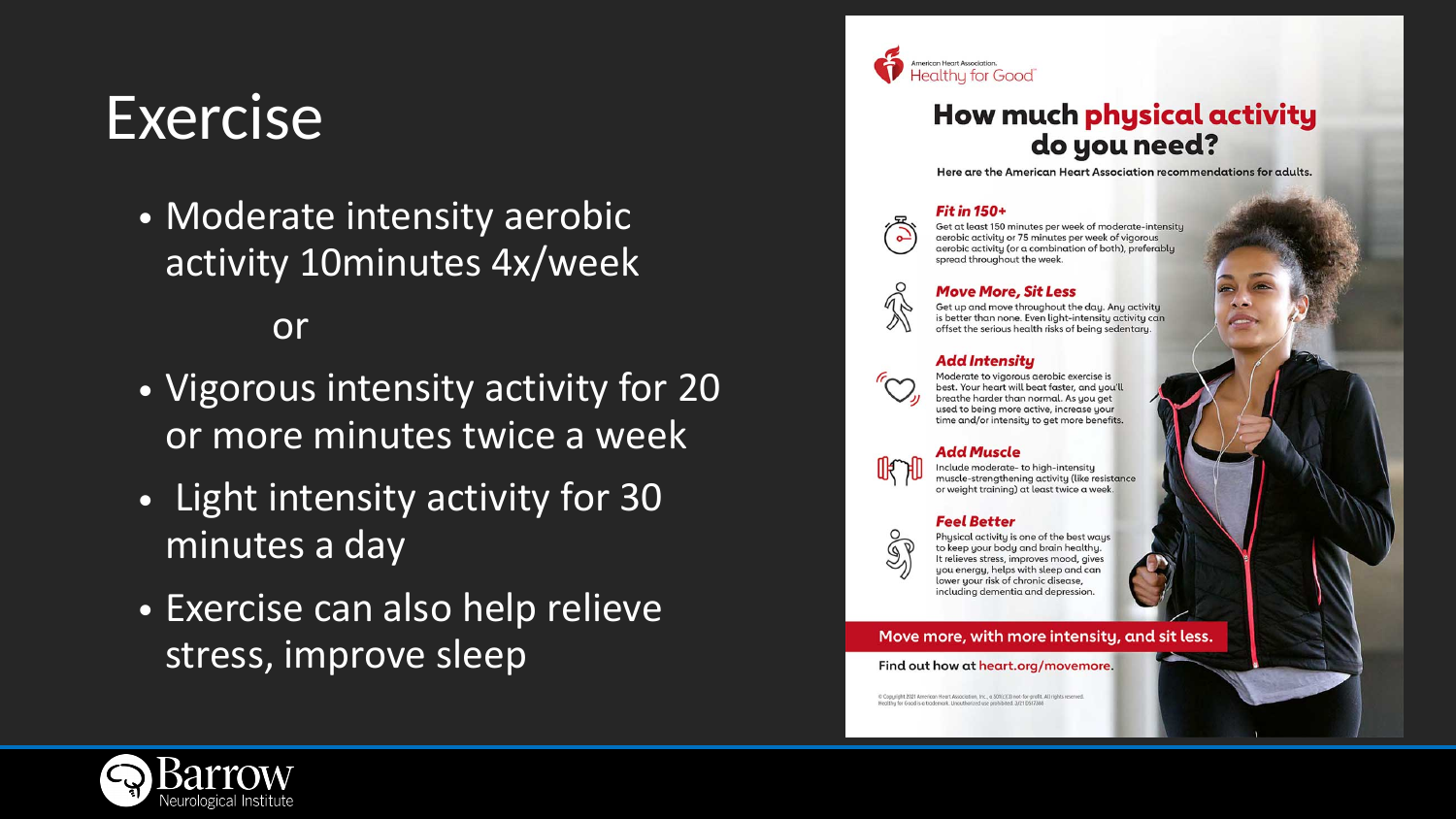### Exercise

• Moderate intensity aerobic activity 10minutes 4x/week

### or

- Vigorous intensity activity for 20 or more minutes twice a week
- Light intensity activity for 30 minutes a day
- Exercise can also help relieve stress, improve sleep





### How much physical activity do you need?

Here are the American Heart Association recommendations for adults.

### **Fit in 150+**



Get at least 150 minutes per week of moderate-intensity aerobic activity or 75 minutes per week of vigorous aerobic activity (or a combination of both), preferably spread throughout the week.



### **Move More, Sit Less**

Get up and move throughout the day. Any activity is better than none. Even light-intensity activity can offset the serious health risks of being sedentary.

### **Add Intensity**



Moderate to vigorous aerobic exercise is best. Your heart will beat faster, and you'll breathe harder than normal. As you get used to being more active, increase your time and/or intensity to get more benefits.

### Add Muscle

Include moderate- to high-intensity muscle-strengthening activity (like resistance or weight training) at least twice a week

### Feel Better



Physical activity is one of the best ways to keep your body and brain healthy. It relieves stress, improves mood, gives you energy, helps with sleep and can lower your risk of chronic disease, including dementia and depression.

### Move more, with more intensity, and sit less.

### Find out how at heart.org/movemore.

© Copyright 2021 American Heart Association, Inc., a 501(c)(3) not-for-profit. All rights reserved. Healthy for Good is a trademark. Unauthorized use prohibited. 3/21 DS17388

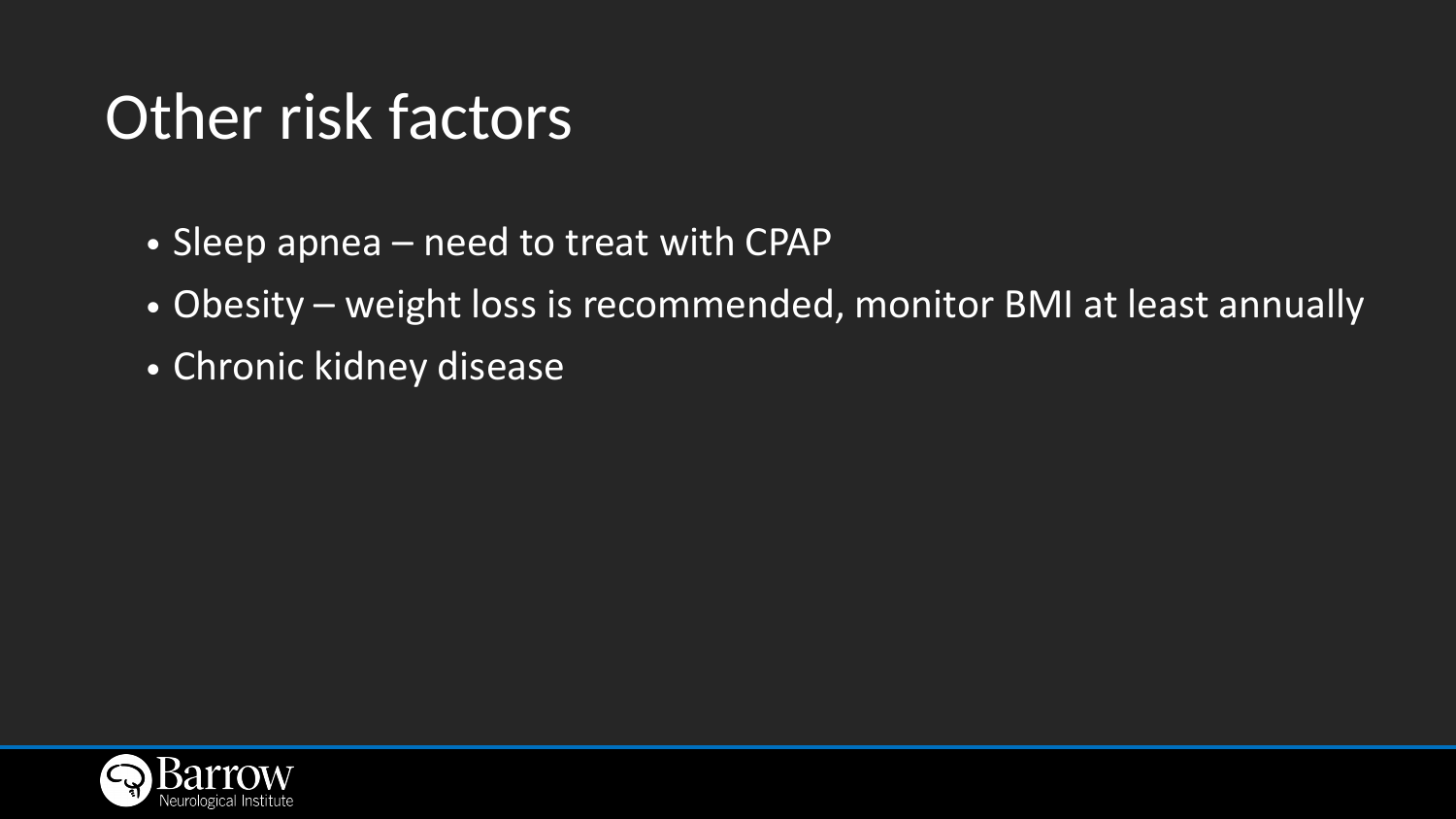### Other risk factors

- Sleep apnea need to treat with CPAP
- 
- Chronic kidney disease



# • Obesity – weight loss is recommended, monitor BMI at least annually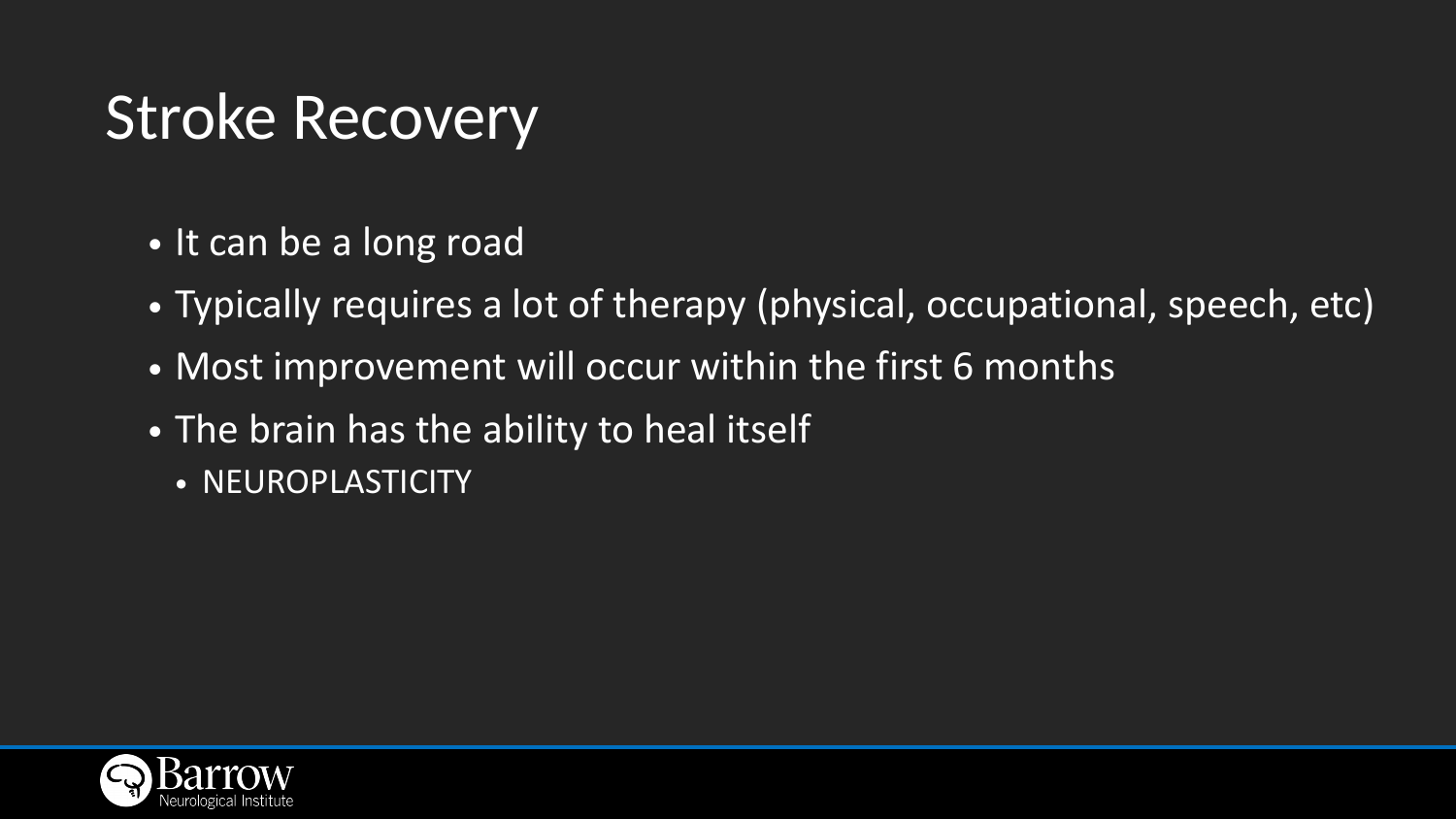### Stroke Recovery

# • Typically requires a lot of therapy (physical, occupational, speech, etc)



- It can be a long road
- 
- Most improvement will occur within the first 6 months
- The brain has the ability to heal itself
	- NEUROPLASTICITY